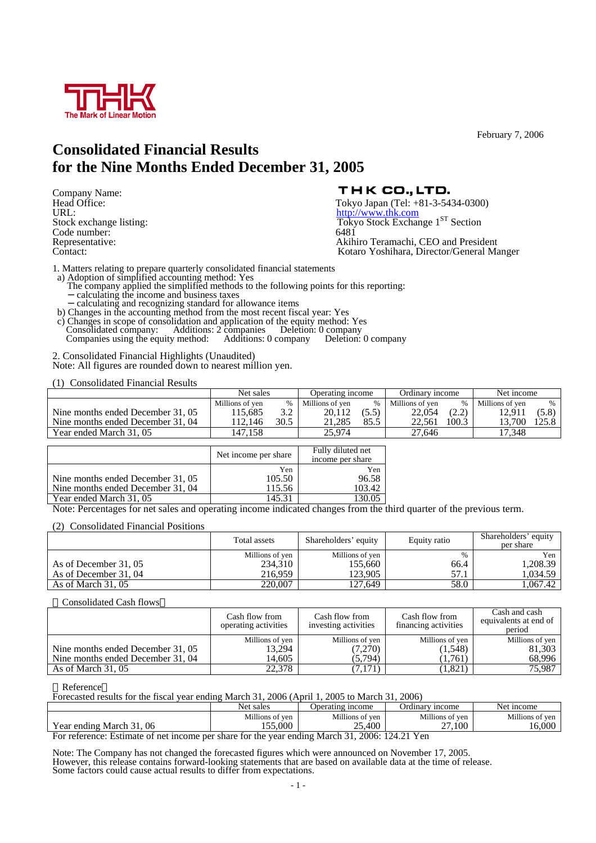

**Consolidated Financial Results for the Nine Months Ended December 31, 2005** 

URL:<br>
Stock exchange listing:<br>
Stock Exchange listing:<br>
Tokyo Stock Exchan Code number: 6481<br>Representative: 6481

Company Name:<br>
Head Office:<br>
Head Office:<br>
URL:<br>
URL:<br>
URL:<br>
URL: Tokyo Stock Exchange 1<sup>ST</sup> Section Akihiro Teramachi, CEO and President Contact: Kotaro Yoshihara, Director/General Manger

1. Matters relating to prepare quarterly consolidated financial statements

- a) Adoption of simplified accounting method: Yes The company applied the simplified methods to the following points for this reporting: calculating the income and business taxes
- calculating and recognizing standard for allowance items b) Changes in the accounting method from the most recent fiscal year: Yes
- c) Changes in scope of consolidation and application of the equity method: Yes<br>Consolidated company: Additions: 2 companies Deletion: 0 company<br>Companies using the equity method: Additions: 0 company Deletion: 0 company Consolidated company: Additions: 2 companies Deletion: 0 company Companies using the equity method: Additions: 0 company Deletion: 0 company

2. Consolidated Financial Highlights (Unaudited) Note: All figures are rounded down to nearest million yen.

(1) Consolidated Financial Results

|                                   | Net sales       |          | Operating income |      | Ordinary income |                              | Net income      |       |
|-----------------------------------|-----------------|----------|------------------|------|-----------------|------------------------------|-----------------|-------|
|                                   | Millions of ven | %        | Millions of ven  |      | Millions of ven | $\%$                         | Millions of yen |       |
| Nine months ended December 31, 05 | 15.685          | $\Omega$ | 20.112           |      | 22,054          | ור ר׳<br>$\angle$ . $\angle$ | 12.911          | (5.8) |
| Nine months ended December 31, 04 | 12.146          | 30.5     | 21.285           | 85.5 | 22.561          | 100.3                        | 13.700          | 125.8 |
| Year ended March 31, 05           | /.158           |          | 25.974           |      | 27.646          |                              | 17.348          |       |

|                                   | Net income per share | Fully diluted net<br>income per share |
|-----------------------------------|----------------------|---------------------------------------|
|                                   | Yen                  | Yen                                   |
| Nine months ended December 31, 05 | 105.50               | 96.58                                 |
| Nine months ended December 31, 04 | 115.56               | 103.42                                |
| Year ended March 31, 05           | 145.31               | 130.05                                |

Note: Percentages for net sales and operating income indicated changes from the third quarter of the previous term.

(2) Consolidated Financial Positions

|                       | Total assets    | Shareholders' equity | Equity ratio | Shareholders' equity<br>per share |
|-----------------------|-----------------|----------------------|--------------|-----------------------------------|
|                       | Millions of yen | Millions of yen      | %            | Yen                               |
| As of December 31, 05 | 234,310         | 155.660              | 66.4         | 1,208.39                          |
| As of December 31, 04 | 216.959         | 123.905              | 57.1         | 1.034.59 I                        |
| As of March $31,05$   | 220.007         | 127.649              | 58.0         | 1.067.42                          |

Consolidated Cash flows

|                                   | Cash flow from<br>operating activities | Cash flow from<br>investing activities | Cash flow from<br>financing activities | Cash and cash<br>equivalents at end of<br>period |
|-----------------------------------|----------------------------------------|----------------------------------------|----------------------------------------|--------------------------------------------------|
|                                   | Millions of yen                        | Millions of yen                        | Millions of yen                        | Millions of yen                                  |
| Nine months ended December 31, 05 | 13,294                                 | (7,270)                                | (1,548)                                | 81,303                                           |
| Nine months ended December 31, 04 | 14.605                                 | (5,794)                                | (1.761)                                | 68,996                                           |
| As of March $31,05$               | 22.378                                 | 7,171)                                 | (1,821)                                | 75,987                                           |

### Reference

Forecasted results for the fiscal year ending March 31, 2006 (April 1, 2005 to March 31, 2006)

|                                                                                                                       | Net sales                  | Operating income          | Ordinary income         | Net income                   |  |  |  |
|-----------------------------------------------------------------------------------------------------------------------|----------------------------|---------------------------|-------------------------|------------------------------|--|--|--|
| March 31, 06<br>Year ending                                                                                           | Millions of ven<br>155,000 | Millions of ven<br>25,400 | Millions of ven<br>.100 | Millions of yen<br>$0.000 -$ |  |  |  |
|                                                                                                                       |                            |                           | <u>.</u>                |                              |  |  |  |
| 0.006.101.21<br>$\blacksquare$<br>The selection of The Contract of the Contract of the Contract Contract of the Month |                            |                           |                         |                              |  |  |  |

For reference: Estimate of net income per share for the year ending March 31, 2006: 124.21 Yen

Note: The Company has not changed the forecasted figures which were announced on November 17, 2005. However, this release contains forward-looking statements that are based on available data at the time of release. Some factors could cause actual results to differ from expectations.

February 7, 2006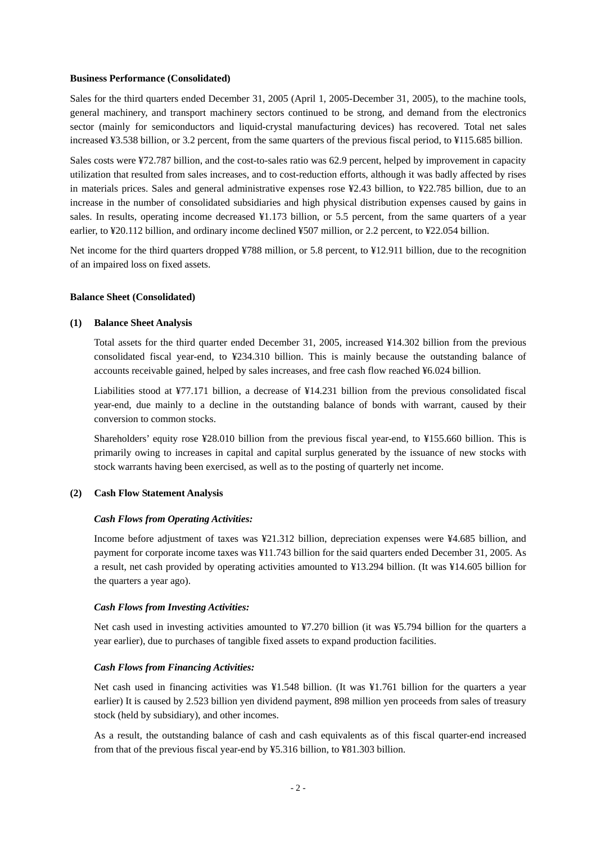### **Business Performance (Consolidated)**

Sales for the third quarters ended December 31, 2005 (April 1, 2005-December 31, 2005), to the machine tools, general machinery, and transport machinery sectors continued to be strong, and demand from the electronics sector (mainly for semiconductors and liquid-crystal manufacturing devices) has recovered. Total net sales increased ¥3.538 billion, or 3.2 percent, from the same quarters of the previous fiscal period, to ¥115.685 billion.

Sales costs were ¥72.787 billion, and the cost-to-sales ratio was 62.9 percent, helped by improvement in capacity utilization that resulted from sales increases, and to cost-reduction efforts, although it was badly affected by rises in materials prices. Sales and general administrative expenses rose ¥2.43 billion, to ¥22.785 billion, due to an increase in the number of consolidated subsidiaries and high physical distribution expenses caused by gains in sales. In results, operating income decreased ¥1.173 billion, or 5.5 percent, from the same quarters of a year earlier, to ¥20.112 billion, and ordinary income declined ¥507 million, or 2.2 percent, to ¥22.054 billion.

Net income for the third quarters dropped ¥788 million, or 5.8 percent, to ¥12.911 billion, due to the recognition of an impaired loss on fixed assets.

#### **Balance Sheet (Consolidated)**

### **(1) Balance Sheet Analysis**

Total assets for the third quarter ended December 31, 2005, increased ¥14.302 billion from the previous consolidated fiscal year-end, to ¥234.310 billion. This is mainly because the outstanding balance of accounts receivable gained, helped by sales increases, and free cash flow reached ¥6.024 billion.

Liabilities stood at ¥77.171 billion, a decrease of ¥14.231 billion from the previous consolidated fiscal year-end, due mainly to a decline in the outstanding balance of bonds with warrant, caused by their conversion to common stocks.

Shareholders' equity rose ¥28.010 billion from the previous fiscal year-end, to ¥155.660 billion. This is primarily owing to increases in capital and capital surplus generated by the issuance of new stocks with stock warrants having been exercised, as well as to the posting of quarterly net income.

#### **(2) Cash Flow Statement Analysis**

#### *Cash Flows from Operating Activities:*

Income before adjustment of taxes was ¥21.312 billion, depreciation expenses were ¥4.685 billion, and payment for corporate income taxes was ¥11.743 billion for the said quarters ended December 31, 2005. As a result, net cash provided by operating activities amounted to ¥13.294 billion. (It was ¥14.605 billion for the quarters a year ago).

### *Cash Flows from Investing Activities:*

Net cash used in investing activities amounted to ¥7.270 billion (it was ¥5.794 billion for the quarters a year earlier), due to purchases of tangible fixed assets to expand production facilities.

#### *Cash Flows from Financing Activities:*

Net cash used in financing activities was ¥1.548 billion. (It was ¥1.761 billion for the quarters a year earlier) It is caused by 2.523 billion yen dividend payment, 898 million yen proceeds from sales of treasury stock (held by subsidiary), and other incomes.

As a result, the outstanding balance of cash and cash equivalents as of this fiscal quarter-end increased from that of the previous fiscal year-end by ¥5.316 billion, to ¥81.303 billion.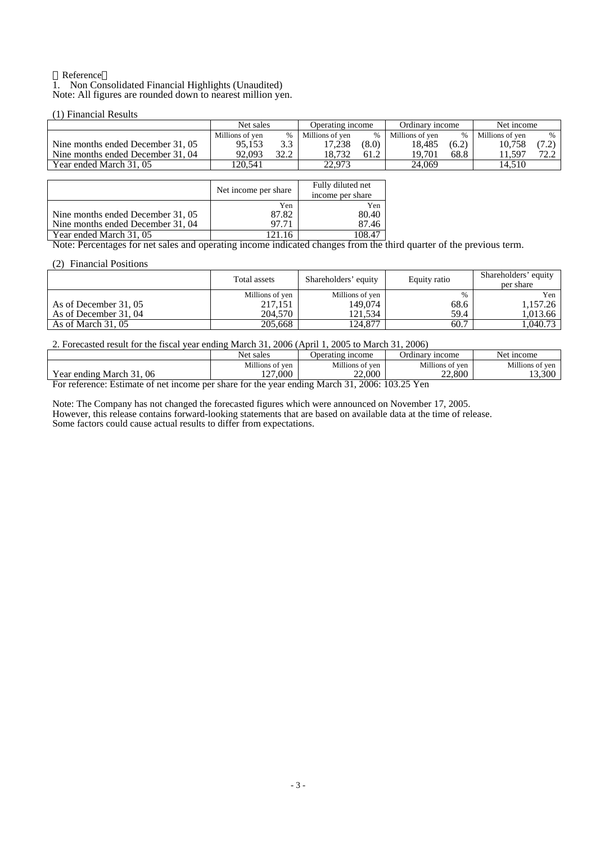#### Reference 1. Non Consolidated Financial Highlights (Unaudited) Note: All figures are rounded down to nearest million yen.

# (1) Financial Results

|                                   | Net sales       |      | Operating income |       | Ordinary income |       | Net income      |      |
|-----------------------------------|-----------------|------|------------------|-------|-----------------|-------|-----------------|------|
|                                   | Millions of ven | $\%$ | Millions of ven  | $\%$  | Millions of ven | %     | Millions of ven |      |
| Nine months ended December 31, 05 | 95.153          | 3.3  | '7.238           | (8.0) | 18.485          | (6.2) | 10.758          |      |
| Nine months ended December 31, 04 | 92.093          | 32.2 | 18.732           | 61.2  | 19.701          | 68.8  | 11.597          | 72.1 |
| Year ended March 31, 05           | !20.541         |      | 22.973           |       | 24.069          |       | 14.510          |      |

|                                   | Net income per share | Fully diluted net<br>income per share |  |
|-----------------------------------|----------------------|---------------------------------------|--|
|                                   | Yen                  | Yen                                   |  |
| Nine months ended December 31, 05 | 87.82                | 80.40                                 |  |
| Nine months ended December 31, 04 | 97.71                | 87.46                                 |  |
| Year ended March 31, 05           |                      |                                       |  |

Note: Percentages for net sales and operating income indicated changes from the third quarter of the previous term.

### (2) Financial Positions

|                       | Total assets               | Shareholders' equity       | Equity ratio | Shareholders' equity<br>per share |
|-----------------------|----------------------------|----------------------------|--------------|-----------------------------------|
| As of December 31, 05 | Millions of yen<br>217.151 | Millions of yen<br>149,074 | %<br>68.6    | Yen<br>1,157.26                   |
| As of December 31, 04 | 204.570                    | 121.534                    | 59.4         | 1,013.66                          |
| As of March $31,05$   | 205,668                    | 124,877                    | 60.7         | 1,040.73                          |

# 2. Forecasted result for the fiscal year ending March 31, 2006 (April 1, 2005 to March 31, 2006)

|                             | Net sales       | Operating income | <b>Ordinary</b><br>nncome | Net income      |  |  |  |
|-----------------------------|-----------------|------------------|---------------------------|-----------------|--|--|--|
|                             | Millions of ven | Millions of ven  | Millions of ven           | Millions of ven |  |  |  |
| 06<br>Year ending March 31. | $\sim$<br>000.  | 22,000           | 22.800                    | 13.300          |  |  |  |
|                             |                 |                  |                           |                 |  |  |  |

For reference: Estimate of net income per share for the year ending March 31, 2006: 103.25 Yen

Note: The Company has not changed the forecasted figures which were announced on November 17, 2005. However, this release contains forward-looking statements that are based on available data at the time of release. Some factors could cause actual results to differ from expectations.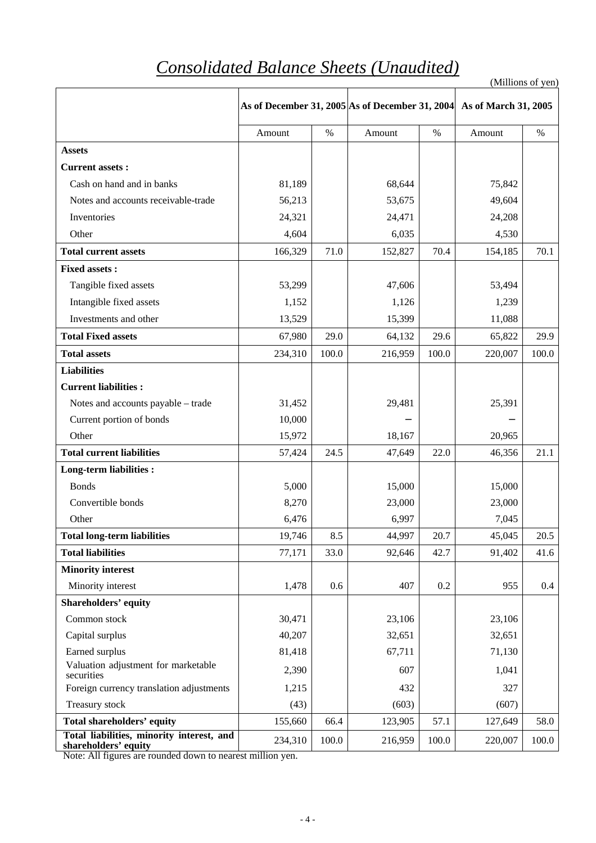# *Consolidated Balance Sheets (Unaudited)*

(Millions of yen)

|                                                                   | As of December 31, 2005 As of December 31, 2004 |       |         |       | As of March 31, 2005 |       |
|-------------------------------------------------------------------|-------------------------------------------------|-------|---------|-------|----------------------|-------|
|                                                                   | Amount                                          | $\%$  | Amount  | $\%$  | Amount               | $\%$  |
| <b>Assets</b>                                                     |                                                 |       |         |       |                      |       |
| <b>Current assets:</b>                                            |                                                 |       |         |       |                      |       |
| Cash on hand and in banks                                         | 81,189                                          |       | 68,644  |       | 75,842               |       |
| Notes and accounts receivable-trade                               | 56,213                                          |       | 53,675  |       | 49,604               |       |
| Inventories                                                       | 24,321                                          |       | 24,471  |       | 24,208               |       |
| Other                                                             | 4,604                                           |       | 6,035   |       | 4,530                |       |
| <b>Total current assets</b>                                       | 166,329                                         | 71.0  | 152,827 | 70.4  | 154,185              | 70.1  |
| <b>Fixed assets:</b>                                              |                                                 |       |         |       |                      |       |
| Tangible fixed assets                                             | 53,299                                          |       | 47,606  |       | 53,494               |       |
| Intangible fixed assets                                           | 1,152                                           |       | 1,126   |       | 1,239                |       |
| Investments and other                                             | 13,529                                          |       | 15,399  |       | 11,088               |       |
| <b>Total Fixed assets</b>                                         | 67,980                                          | 29.0  | 64,132  | 29.6  | 65,822               | 29.9  |
| <b>Total assets</b>                                               | 234,310                                         | 100.0 | 216,959 | 100.0 | 220,007              | 100.0 |
| <b>Liabilities</b>                                                |                                                 |       |         |       |                      |       |
| <b>Current liabilities:</b>                                       |                                                 |       |         |       |                      |       |
| Notes and accounts payable - trade                                | 31,452                                          |       | 29,481  |       | 25,391               |       |
| Current portion of bonds                                          | 10,000                                          |       |         |       |                      |       |
| Other                                                             | 15,972                                          |       | 18,167  |       | 20,965               |       |
| <b>Total current liabilities</b>                                  | 57,424                                          | 24.5  | 47,649  | 22.0  | 46,356               | 21.1  |
| <b>Long-term liabilities:</b>                                     |                                                 |       |         |       |                      |       |
| <b>Bonds</b>                                                      | 5,000                                           |       | 15,000  |       | 15,000               |       |
| Convertible bonds                                                 | 8,270                                           |       | 23,000  |       | 23,000               |       |
| Other                                                             | 6,476                                           |       | 6,997   |       | 7,045                |       |
| <b>Total long-term liabilities</b>                                | 19,746                                          | 8.5   | 44,997  | 20.7  | 45,045               | 20.5  |
| <b>Total liabilities</b>                                          | 77,171                                          | 33.0  | 92,646  | 42.7  | 91,402               | 41.6  |
| <b>Minority interest</b>                                          |                                                 |       |         |       |                      |       |
| Minority interest                                                 | 1,478                                           | 0.6   | 407     | 0.2   | 955                  | 0.4   |
| <b>Shareholders' equity</b>                                       |                                                 |       |         |       |                      |       |
| Common stock                                                      | 30,471                                          |       | 23,106  |       | 23,106               |       |
| Capital surplus                                                   | 40,207                                          |       | 32,651  |       | 32,651               |       |
| Earned surplus                                                    | 81,418                                          |       | 67,711  |       | 71,130               |       |
| Valuation adjustment for marketable<br>securities                 | 2,390                                           |       | 607     |       | 1,041                |       |
| Foreign currency translation adjustments                          | 1,215                                           |       | 432     |       | 327                  |       |
| Treasury stock                                                    | (43)                                            |       | (603)   |       | (607)                |       |
| <b>Total shareholders' equity</b>                                 | 155,660                                         | 66.4  | 123,905 | 57.1  | 127,649              | 58.0  |
| Total liabilities, minority interest, and<br>shareholders' equity | 234,310                                         | 100.0 | 216,959 | 100.0 | 220,007              | 100.0 |

Note: All figures are rounded down to nearest million yen.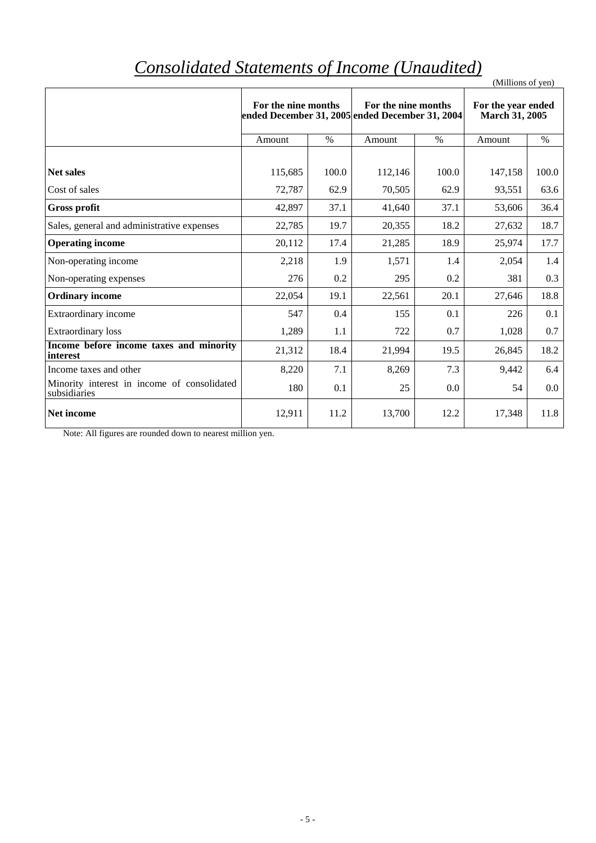# *Consolidated Statements of Income (Unaudited)*

| Consolidated Statements of Income (Ondianea)                |                                                                        |       |                     |       | (Millions of yen)                           |               |
|-------------------------------------------------------------|------------------------------------------------------------------------|-------|---------------------|-------|---------------------------------------------|---------------|
|                                                             | For the nine months<br>ended December 31, 2005 ended December 31, 2004 |       | For the nine months |       | For the year ended<br><b>March 31, 2005</b> |               |
|                                                             | Amount                                                                 | $\%$  | Amount              | $\%$  | Amount                                      | $\frac{0}{0}$ |
| <b>Net sales</b>                                            | 115,685                                                                | 100.0 | 112,146             | 100.0 | 147,158                                     | 100.0         |
| Cost of sales                                               | 72,787                                                                 | 62.9  | 70,505              | 62.9  | 93,551                                      | 63.6          |
| <b>Gross profit</b>                                         | 42,897                                                                 | 37.1  | 41,640              | 37.1  | 53,606                                      | 36.4          |
| Sales, general and administrative expenses                  | 22,785                                                                 | 19.7  | 20,355              | 18.2  | 27,632                                      | 18.7          |
| <b>Operating income</b>                                     | 20,112                                                                 | 17.4  | 21,285              | 18.9  | 25,974                                      | 17.7          |
| Non-operating income                                        | 2,218                                                                  | 1.9   | 1,571               | 1.4   | 2,054                                       | 1.4           |
| Non-operating expenses                                      | 276                                                                    | 0.2   | 295                 | 0.2   | 381                                         | 0.3           |
| <b>Ordinary income</b>                                      | 22,054                                                                 | 19.1  | 22,561              | 20.1  | 27,646                                      | 18.8          |
| Extraordinary income                                        | 547                                                                    | 0.4   | 155                 | 0.1   | 226                                         | 0.1           |
| <b>Extraordinary</b> loss                                   | 1,289                                                                  | 1.1   | 722                 | 0.7   | 1,028                                       | 0.7           |
| Income before income taxes and minority<br>interest         | 21,312                                                                 | 18.4  | 21,994              | 19.5  | 26,845                                      | 18.2          |
| Income taxes and other                                      | 8,220                                                                  | 7.1   | 8,269               | 7.3   | 9,442                                       | 6.4           |
| Minority interest in income of consolidated<br>subsidiaries | 180                                                                    | 0.1   | 25                  | 0.0   | 54                                          | $0.0\,$       |
| Net income                                                  | 12,911                                                                 | 11.2  | 13,700              | 12.2  | 17,348                                      | 11.8          |

Note: All figures are rounded down to nearest million yen.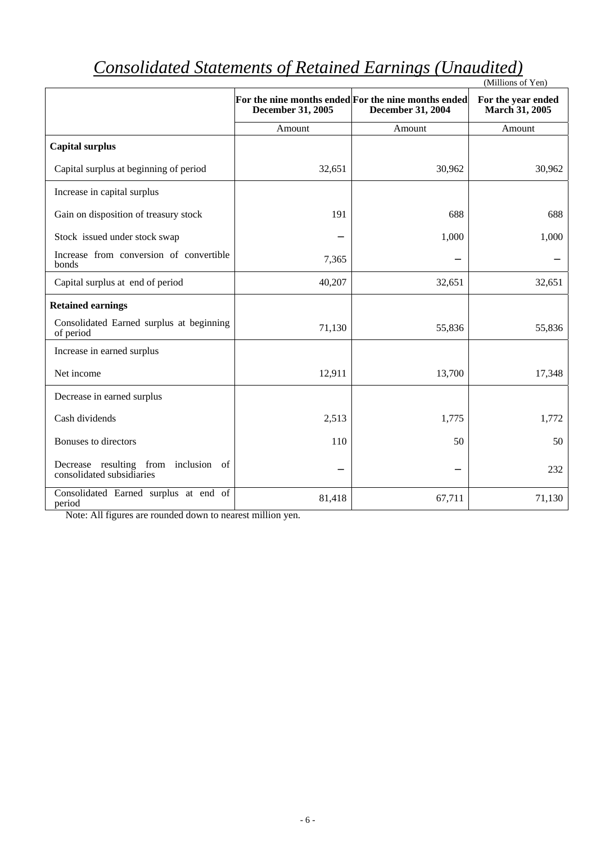|                                                                   |                   |                                                                                 | (Millions of Yen)                    |
|-------------------------------------------------------------------|-------------------|---------------------------------------------------------------------------------|--------------------------------------|
|                                                                   | December 31, 2005 | For the nine months ended For the nine months ended<br><b>December 31, 2004</b> | For the year ended<br>March 31, 2005 |
|                                                                   | Amount            | Amount                                                                          | Amount                               |
| <b>Capital surplus</b>                                            |                   |                                                                                 |                                      |
| Capital surplus at beginning of period                            | 32,651            | 30,962                                                                          | 30,962                               |
| Increase in capital surplus                                       |                   |                                                                                 |                                      |
| Gain on disposition of treasury stock                             | 191               | 688                                                                             | 688                                  |
| Stock issued under stock swap                                     |                   | 1,000                                                                           | 1,000                                |
| Increase from conversion of convertible<br>bonds                  | 7,365             |                                                                                 |                                      |
| Capital surplus at end of period                                  | 40,207            | 32,651                                                                          | 32,651                               |
| <b>Retained earnings</b>                                          |                   |                                                                                 |                                      |
| Consolidated Earned surplus at beginning<br>of period             | 71,130            | 55,836                                                                          | 55,836                               |
| Increase in earned surplus                                        |                   |                                                                                 |                                      |
| Net income                                                        | 12,911            | 13,700                                                                          | 17,348                               |
| Decrease in earned surplus                                        |                   |                                                                                 |                                      |
| Cash dividends                                                    | 2,513             | 1,775                                                                           | 1,772                                |
| Bonuses to directors                                              | 110               | 50                                                                              | 50                                   |
| Decrease resulting from inclusion of<br>consolidated subsidiaries |                   |                                                                                 | 232                                  |
| Consolidated Earned surplus at end of<br>period                   | 81,418            | 67,711                                                                          | 71,130                               |

# *Consolidated Statements of Retained Earnings (Unaudited)*

Note: All figures are rounded down to nearest million yen.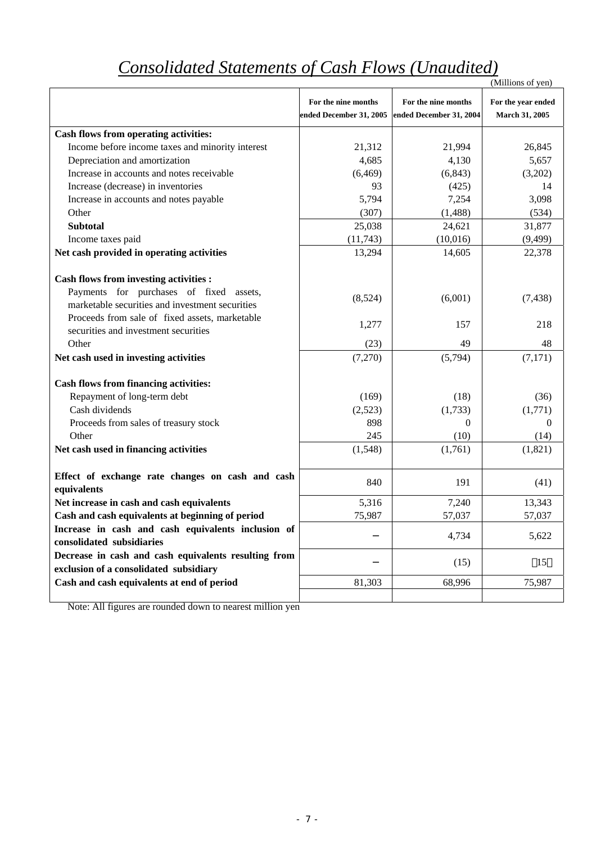# *Consolidated Statements of Cash Flows (Unaudited)*

|                                                                             |                         |                         | (Millions of yen)     |
|-----------------------------------------------------------------------------|-------------------------|-------------------------|-----------------------|
|                                                                             | For the nine months     | For the nine months     | For the year ended    |
|                                                                             | ended December 31, 2005 | ended December 31, 2004 | <b>March 31, 2005</b> |
| Cash flows from operating activities:                                       |                         |                         |                       |
| Income before income taxes and minority interest                            | 21,312                  | 21,994                  | 26,845                |
| Depreciation and amortization                                               | 4,685                   | 4,130                   | 5,657                 |
| Increase in accounts and notes receivable                                   | (6, 469)                | (6, 843)                | (3,202)               |
| Increase (decrease) in inventories                                          | 93                      | (425)                   | 14                    |
| Increase in accounts and notes payable                                      | 5,794                   | 7,254                   | 3,098                 |
| Other                                                                       | (307)                   | (1,488)                 | (534)                 |
| <b>Subtotal</b>                                                             | 25,038                  | 24,621                  | 31,877                |
| Income taxes paid                                                           | (11,743)                | (10,016)                | (9, 499)              |
| Net cash provided in operating activities                                   | 13,294                  | 14,605                  | 22,378                |
|                                                                             |                         |                         |                       |
| <b>Cash flows from investing activities :</b>                               |                         |                         |                       |
| Payments for purchases of fixed assets,                                     | (8,524)                 | (6,001)                 | (7, 438)              |
| marketable securities and investment securities                             |                         |                         |                       |
| Proceeds from sale of fixed assets, marketable                              | 1,277                   | 157                     | 218                   |
| securities and investment securities                                        |                         |                         |                       |
| Other                                                                       | (23)                    | 49                      | 48                    |
| Net cash used in investing activities                                       | (7,270)                 | (5,794)                 | (7,171)               |
|                                                                             |                         |                         |                       |
| <b>Cash flows from financing activities:</b><br>Repayment of long-term debt | (169)                   |                         |                       |
| Cash dividends                                                              | (2,523)                 | (18)<br>(1,733)         | (36)<br>(1,771)       |
| Proceeds from sales of treasury stock                                       | 898                     | $\Omega$                | $\Omega$              |
| Other                                                                       | 245                     | (10)                    | (14)                  |
| Net cash used in financing activities                                       | (1,548)                 | (1,761)                 | (1,821)               |
|                                                                             |                         |                         |                       |
| Effect of exchange rate changes on cash and cash                            |                         |                         |                       |
| equivalents                                                                 | 840                     | 191                     | (41)                  |
| Net increase in cash and cash equivalents                                   | 5,316                   | 7,240                   | 13,343                |
| Cash and cash equivalents at beginning of period                            | 75,987                  | 57,037                  | 57,037                |
| Increase in cash and cash equivalents inclusion of                          |                         |                         |                       |
| consolidated subsidiaries                                                   |                         | 4,734                   | 5,622                 |
| Decrease in cash and cash equivalents resulting from                        |                         |                         |                       |
| exclusion of a consolidated subsidiary                                      |                         | (15)                    | 15                    |
| Cash and cash equivalents at end of period                                  | 81,303                  | 68,996                  | 75,987                |
|                                                                             |                         |                         |                       |

Note: All figures are rounded down to nearest million yen